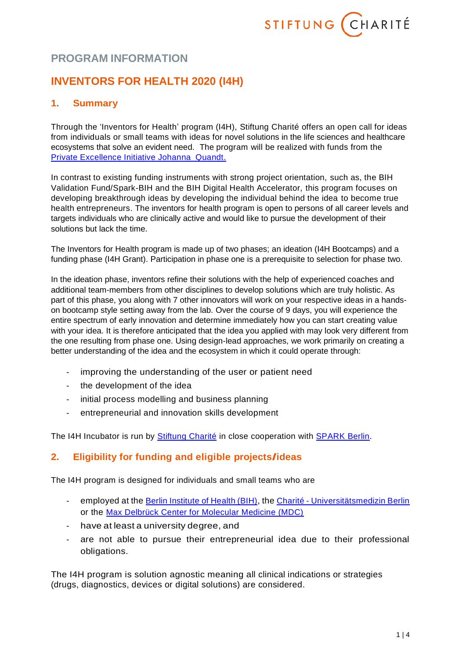

# **PROGRAM INFORMATION**

# **INVENTORS FOR HEALTH 2020 (I4H)**

# **1. Summary**

Through the 'Inventors for Health' program (I4H), Stiftung Charité offers an open call for ideas from individuals or small teams with ideas for novel solutions in the life sciences and healthcare ecosystems that solve an evident need. The program will be realized with funds from the Private Excellence Initiative Johanna Quandt.

In contrast to existing funding instruments with strong project orientation, such as, the BIH Validation Fund/Spark-BIH and the BIH Digital Health Accelerator, this program focuses on developing breakthrough ideas by developing the individual behind the idea to become true health entrepreneurs. The inventors for health program is open to persons of all career levels and targets individuals who are clinically active and would like to pursue the development of their solutions but lack the time.

The Inventors for Health program is made up of two phases; an ideation (I4H Bootcamps) and a funding phase (I4H Grant). Participation in phase one is a prerequisite to selection for phase two.

In the ideation phase, inventors refine their solutions with the help of experienced coaches and additional team-members from other disciplines to develop solutions which are truly holistic. As part of this phase, you along with 7 other innovators will work on your respective ideas in a handson bootcamp style setting away from the lab. Over the course of 9 days, you will experience the entire spectrum of early innovation and determine immediately how you can start creating value with your idea. It is therefore anticipated that the idea you applied with may look very different from the one resulting from phase one. Using design-lead approaches, we work primarily on creating a better understanding of the idea and the ecosystem in which it could operate through:

- improving the understanding of the user or patient need
- the development of the idea
- initial process modelling and business planning
- entrepreneurial and innovation skills development

The I4H Incubator is run by **Stiftung Charité** in close cooperation with **SPARK Berlin**.

# **2. Eligibility for funding and eligible projects/ideas**

The I4H program is designed for individuals and small teams who are

- employed at the [Berlin Institute of](https://www.bihealth.org/) Health (BIH), the Charité [Universitätsmedizin Berlin](https://www.charite.de/) or the [Max Delbrück Center for Molecular Medicine \(MDC\)](https://www.mdc-berlin.de/)
- have at least a university degree, and
- are not able to pursue their entrepreneurial idea due to their professional obligations.

The I4H program is solution agnostic meaning all clinical indications or strategies (drugs, diagnostics, devices or digital solutions) are considered.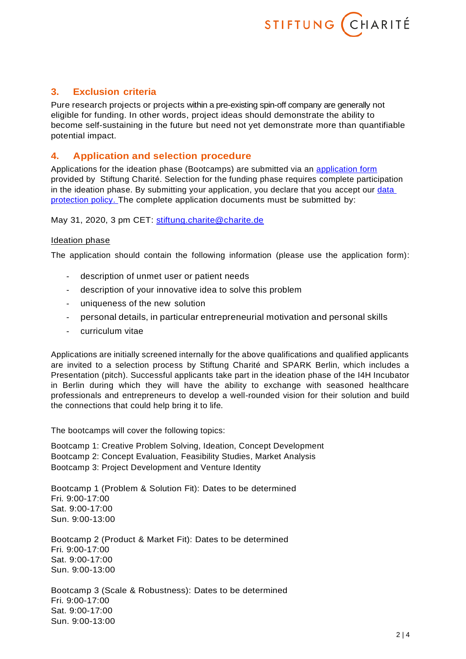

## **3. Exclusion criteria**

Pure research projects or projects within a pre-existing spin-off company are generally not eligible for funding. In other words, project ideas should demonstrate the ability to become self-sustaining in the future but need not yet demonstrate more than quantifiable potential impact.

### **4. Application and selection procedure**

Applications for the ideation phase (Bootcamps) are submitted via an [application form](https://www.stiftung-charite.de/fileadmin/user_upload/stiftungcharite/Foerderung/Antragsformulare/Formular_I4H_2019.docx) provided by Stiftung Charité. Selection for the funding phase requires complete participation in the ideation phase. By submitting your application, you declare that you accept our data [protection policy.](https://www.stiftung-charite.de/fileadmin/user_upload/stiftungcharite/Foerderung/Antragsformulare/Datenschutzhinweis.pdf) The complete application documents must be submitted by:

May 31, 2020, 3 pm CET: [stiftung.charite@charite.de](mailto:stiftung.charite@charite.de)

#### Ideation phase

The application should contain the following information (please use the application form):

- description of unmet user or patient needs
- description of your innovative idea to solve this problem
- uniqueness of the new solution
- personal details, in particular entrepreneurial motivation and personal skills
- curriculum vitae

Applications are initially screened internally for the above qualifications and qualified applicants are invited to a selection process by Stiftung Charité and SPARK Berlin, which includes a Presentation (pitch). Successful applicants take part in the ideation phase of the I4H Incubator in Berlin during which they will have the ability to exchange with seasoned healthcare professionals and entrepreneurs to develop a well-rounded vision for their solution and build the connections that could help bring it to life.

The bootcamps will cover the following topics:

Bootcamp 1: Creative Problem Solving, Ideation, Concept Development Bootcamp 2: Concept Evaluation, Feasibility Studies, Market Analysis Bootcamp 3: Project Development and Venture Identity

Bootcamp 1 (Problem & Solution Fit): Dates to be determined Fri. 9:00-17:00 Sat. 9:00-17:00 Sun. 9:00-13:00

Bootcamp 2 (Product & Market Fit): Dates to be determined Fri. 9:00-17:00 Sat. 9:00-17:00 Sun. 9:00-13:00

Bootcamp 3 (Scale & Robustness): Dates to be determined Fri. 9:00-17:00 Sat. 9:00-17:00 Sun. 9:00-13:00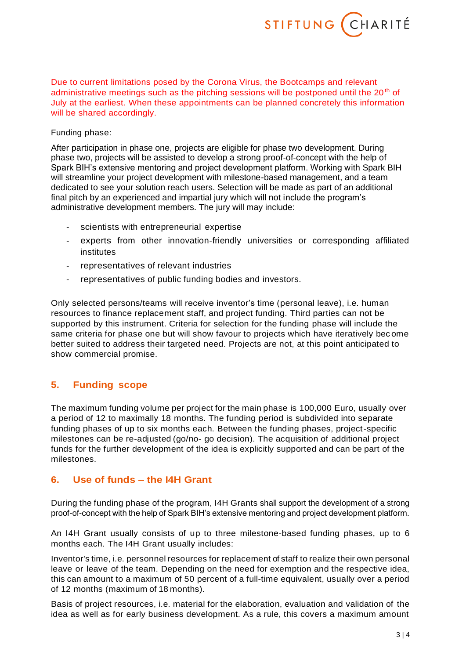

Due to current limitations posed by the Corona Virus, the Bootcamps and relevant administrative meetings such as the pitching sessions will be postponed until the  $20<sup>th</sup>$  of July at the earliest. When these appointments can be planned concretely this information will be shared accordingly.

### Funding phase:

After participation in phase one, projects are eligible for phase two development. During phase two, projects will be assisted to develop a strong proof-of-concept with the help of Spark BIH's extensive mentoring and project development platform. Working with Spark BIH will streamline your project development with milestone-based management, and a team dedicated to see your solution reach users. Selection will be made as part of an additional final pitch by an experienced and impartial jury which will not include the program's administrative development members. The jury will may include:

- scientists with entrepreneurial expertise
- experts from other innovation-friendly universities or corresponding affiliated institutes
- representatives of relevant industries
- representatives of public funding bodies and investors.

Only selected persons/teams will receive inventor's time (personal leave), i.e. human resources to finance replacement staff, and project funding. Third parties can not be supported by this instrument. Criteria for selection for the funding phase will include the same criteria for phase one but will show favour to projects which have iteratively bec ome better suited to address their targeted need. Projects are not, at this point anticipated to show commercial promise.

## **5. Funding scope**

The maximum funding volume per project for the main phase is 100,000 Euro, usually over a period of 12 to maximally 18 months. The funding period is subdivided into separate funding phases of up to six months each. Between the funding phases, project-specific milestones can be re-adjusted (go/no- go decision). The acquisition of additional project funds for the further development of the idea is explicitly supported and can be part of the milestones.

# **6. Use of funds – the I4H Grant**

During the funding phase of the program, I4H Grants shall support the development of a strong proof-of-concept with the help of Spark BIH's extensive mentoring and project development platform.

An I4H Grant usually consists of up to three milestone-based funding phases, up to 6 months each. The I4H Grant usually includes:

Inventor's time, i.e. personnel resources for replacement of staff to realize their own personal leave or leave of the team. Depending on the need for exemption and the respective idea, this can amount to a maximum of 50 percent of a full-time equivalent, usually over a period of 12 months (maximum of 18 months).

Basis of project resources, i.e. material for the elaboration, evaluation and validation of the idea as well as for early business development. As a rule, this covers a maximum amount